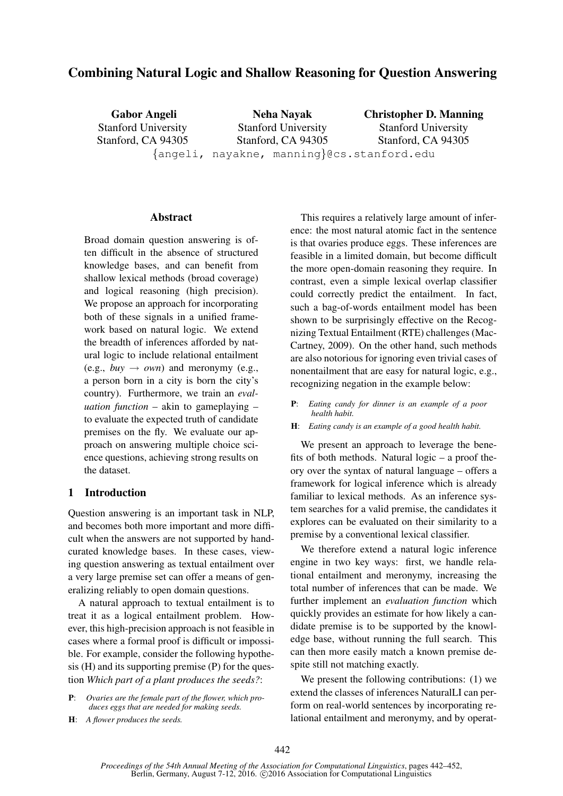# Combining Natural Logic and Shallow Reasoning for Question Answering

Gabor Angeli Stanford University Stanford, CA 94305 Neha Nayak Stanford University Stanford, CA 94305 Christopher D. Manning Stanford University Stanford, CA 94305 {angeli, nayakne, manning}@cs.stanford.edu

#### **Abstract**

Broad domain question answering is often difficult in the absence of structured knowledge bases, and can benefit from shallow lexical methods (broad coverage) and logical reasoning (high precision). We propose an approach for incorporating both of these signals in a unified framework based on natural logic. We extend the breadth of inferences afforded by natural logic to include relational entailment (e.g.,  $buv \rightarrow own$ ) and meronymy (e.g., a person born in a city is born the city's country). Furthermore, we train an *evaluation function* – akin to gameplaying – to evaluate the expected truth of candidate premises on the fly. We evaluate our approach on answering multiple choice science questions, achieving strong results on the dataset.

### 1 Introduction

Question answering is an important task in NLP, and becomes both more important and more difficult when the answers are not supported by handcurated knowledge bases. In these cases, viewing question answering as textual entailment over a very large premise set can offer a means of generalizing reliably to open domain questions.

A natural approach to textual entailment is to treat it as a logical entailment problem. However, this high-precision approach is not feasible in cases where a formal proof is difficult or impossible. For example, consider the following hypothesis (H) and its supporting premise (P) for the question *Which part of a plant produces the seeds?*:

- P: *Ovaries are the female part of the flower, which produces eggs that are needed for making seeds.*
- H: *A flower produces the seeds.*

This requires a relatively large amount of inference: the most natural atomic fact in the sentence is that ovaries produce eggs. These inferences are feasible in a limited domain, but become difficult the more open-domain reasoning they require. In contrast, even a simple lexical overlap classifier could correctly predict the entailment. In fact, such a bag-of-words entailment model has been shown to be surprisingly effective on the Recognizing Textual Entailment (RTE) challenges (Mac-Cartney, 2009). On the other hand, such methods are also notorious for ignoring even trivial cases of nonentailment that are easy for natural logic, e.g., recognizing negation in the example below:

- P: *Eating candy for dinner is an example of a poor health habit.*
- H: *Eating candy is an example of a good health habit.*

We present an approach to leverage the benefits of both methods. Natural logic – a proof theory over the syntax of natural language – offers a framework for logical inference which is already familiar to lexical methods. As an inference system searches for a valid premise, the candidates it explores can be evaluated on their similarity to a premise by a conventional lexical classifier.

We therefore extend a natural logic inference engine in two key ways: first, we handle relational entailment and meronymy, increasing the total number of inferences that can be made. We further implement an *evaluation function* which quickly provides an estimate for how likely a candidate premise is to be supported by the knowledge base, without running the full search. This can then more easily match a known premise despite still not matching exactly.

We present the following contributions: (1) we extend the classes of inferences NaturalLI can perform on real-world sentences by incorporating relational entailment and meronymy, and by operat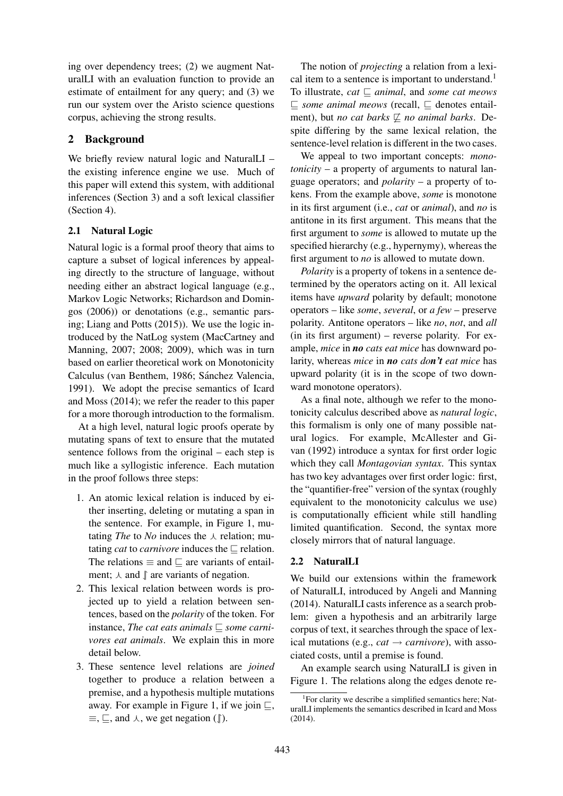ing over dependency trees; (2) we augment NaturalLI with an evaluation function to provide an estimate of entailment for any query; and (3) we run our system over the Aristo science questions corpus, achieving the strong results.

## 2 Background

We briefly review natural logic and NaturalLI – the existing inference engine we use. Much of this paper will extend this system, with additional inferences (Section 3) and a soft lexical classifier (Section 4).

## 2.1 Natural Logic

Natural logic is a formal proof theory that aims to capture a subset of logical inferences by appealing directly to the structure of language, without needing either an abstract logical language (e.g., Markov Logic Networks; Richardson and Domingos (2006)) or denotations (e.g., semantic parsing; Liang and Potts (2015)). We use the logic introduced by the NatLog system (MacCartney and Manning, 2007; 2008; 2009), which was in turn based on earlier theoretical work on Monotonicity Calculus (van Benthem, 1986; Sánchez Valencia, 1991). We adopt the precise semantics of Icard and Moss (2014); we refer the reader to this paper for a more thorough introduction to the formalism.

At a high level, natural logic proofs operate by mutating spans of text to ensure that the mutated sentence follows from the original – each step is much like a syllogistic inference. Each mutation in the proof follows three steps:

- 1. An atomic lexical relation is induced by either inserting, deleting or mutating a span in the sentence. For example, in Figure 1, mutating *The* to *No* induces the  $\lambda$  relation; mutating *cat* to *carnivore* induces the  $\Box$  relation. The relations  $\equiv$  and  $\sqsubset$  are variants of entailment;  $\lambda$  and  $\parallel$  are variants of negation.
- 2. This lexical relation between words is projected up to yield a relation between sentences, based on the *polarity* of the token. For instance, *The cat eats animals*  $\Box$  *some carnivores eat animals*. We explain this in more detail below.
- 3. These sentence level relations are *joined* together to produce a relation between a premise, and a hypothesis multiple mutations away. For example in Figure 1, if we join  $\sqsubseteq$ ,  $\equiv$ ,  $\sqsubseteq$ , and  $\curlywedge$ , we get negation ( $\uparrow$ ).

The notion of *projecting* a relation from a lexical item to a sentence is important to understand.<sup>1</sup> To illustrate,  $cat \sqsubset animal$ , and *some cat meows*  $\subseteq$  *some animal meows* (recall,  $\subseteq$  denotes entailment), but *no cat barks*  $\not\sqsubseteq$  *no animal barks*. Despite differing by the same lexical relation, the sentence-level relation is different in the two cases.

We appeal to two important concepts: *monotonicity* – a property of arguments to natural language operators; and *polarity* – a property of tokens. From the example above, *some* is monotone in its first argument (i.e., *cat* or *animal*), and *no* is antitone in its first argument. This means that the first argument to *some* is allowed to mutate up the specified hierarchy (e.g., hypernymy), whereas the first argument to *no* is allowed to mutate down.

*Polarity* is a property of tokens in a sentence determined by the operators acting on it. All lexical items have *upward* polarity by default; monotone operators – like *some*, *several*, or *a few* – preserve polarity. Antitone operators – like *no*, *not*, and *all* (in its first argument) – reverse polarity. For example, *mice* in *no cats eat mice* has downward polarity, whereas *mice* in *no cats don't eat mice* has upward polarity (it is in the scope of two downward monotone operators).

As a final note, although we refer to the monotonicity calculus described above as *natural logic*, this formalism is only one of many possible natural logics. For example, McAllester and Givan (1992) introduce a syntax for first order logic which they call *Montagovian syntax*. This syntax has two key advantages over first order logic: first, the "quantifier-free" version of the syntax (roughly equivalent to the monotonicity calculus we use) is computationally efficient while still handling limited quantification. Second, the syntax more closely mirrors that of natural language.

### 2.2 NaturalLI

We build our extensions within the framework of NaturalLI, introduced by Angeli and Manning (2014). NaturalLI casts inference as a search problem: given a hypothesis and an arbitrarily large corpus of text, it searches through the space of lexical mutations (e.g.,  $cat \rightarrow carnivore$ ), with associated costs, until a premise is found.

An example search using NaturalLI is given in Figure 1. The relations along the edges denote re-

<sup>1</sup> For clarity we describe a simplified semantics here; NaturalLI implements the semantics described in Icard and Moss (2014).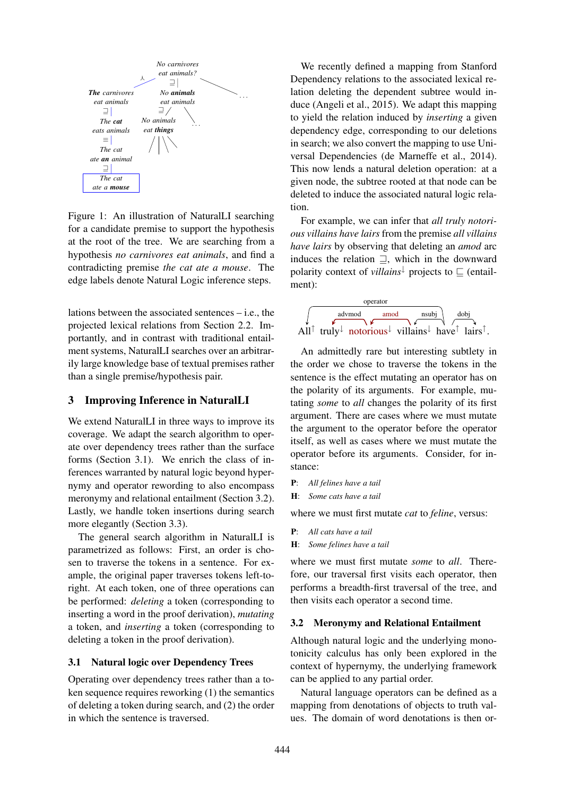

Figure 1: An illustration of NaturalLI searching for a candidate premise to support the hypothesis at the root of the tree. We are searching from a hypothesis *no carnivores eat animals*, and find a contradicting premise *the cat ate a mouse*. The edge labels denote Natural Logic inference steps.

lations between the associated sentences – i.e., the projected lexical relations from Section 2.2. Importantly, and in contrast with traditional entailment systems, NaturalLI searches over an arbitrarily large knowledge base of textual premises rather than a single premise/hypothesis pair.

### 3 Improving Inference in NaturalLI

We extend NaturalLI in three ways to improve its coverage. We adapt the search algorithm to operate over dependency trees rather than the surface forms (Section 3.1). We enrich the class of inferences warranted by natural logic beyond hypernymy and operator rewording to also encompass meronymy and relational entailment (Section 3.2). Lastly, we handle token insertions during search more elegantly (Section 3.3).

The general search algorithm in NaturalLI is parametrized as follows: First, an order is chosen to traverse the tokens in a sentence. For example, the original paper traverses tokens left-toright. At each token, one of three operations can be performed: *deleting* a token (corresponding to inserting a word in the proof derivation), *mutating* a token, and *inserting* a token (corresponding to deleting a token in the proof derivation).

#### 3.1 Natural logic over Dependency Trees

Operating over dependency trees rather than a token sequence requires reworking (1) the semantics of deleting a token during search, and (2) the order in which the sentence is traversed.

We recently defined a mapping from Stanford Dependency relations to the associated lexical relation deleting the dependent subtree would induce (Angeli et al., 2015). We adapt this mapping to yield the relation induced by *inserting* a given dependency edge, corresponding to our deletions in search; we also convert the mapping to use Universal Dependencies (de Marneffe et al., 2014). This now lends a natural deletion operation: at a given node, the subtree rooted at that node can be deleted to induce the associated natural logic relation.

For example, we can infer that *all truly notorious villains have lairs* from the premise *all villains have lairs* by observing that deleting an *amod* arc induces the relation  $\Box$ , which in the downward polarity context of *villains* projects to  $\subseteq$  (entailment):



An admittedly rare but interesting subtlety in the order we chose to traverse the tokens in the sentence is the effect mutating an operator has on the polarity of its arguments. For example, mutating *some* to *all* changes the polarity of its first argument. There are cases where we must mutate the argument to the operator before the operator itself, as well as cases where we must mutate the operator before its arguments. Consider, for instance:

- P: *All felines have a tail*
- H: *Some cats have a tail*

where we must first mutate *cat* to *feline*, versus:

- P: *All cats have a tail*
- H: *Some felines have a tail*

where we must first mutate *some* to *all*. Therefore, our traversal first visits each operator, then performs a breadth-first traversal of the tree, and then visits each operator a second time.

#### 3.2 Meronymy and Relational Entailment

Although natural logic and the underlying monotonicity calculus has only been explored in the context of hypernymy, the underlying framework can be applied to any partial order.

Natural language operators can be defined as a mapping from denotations of objects to truth values. The domain of word denotations is then or-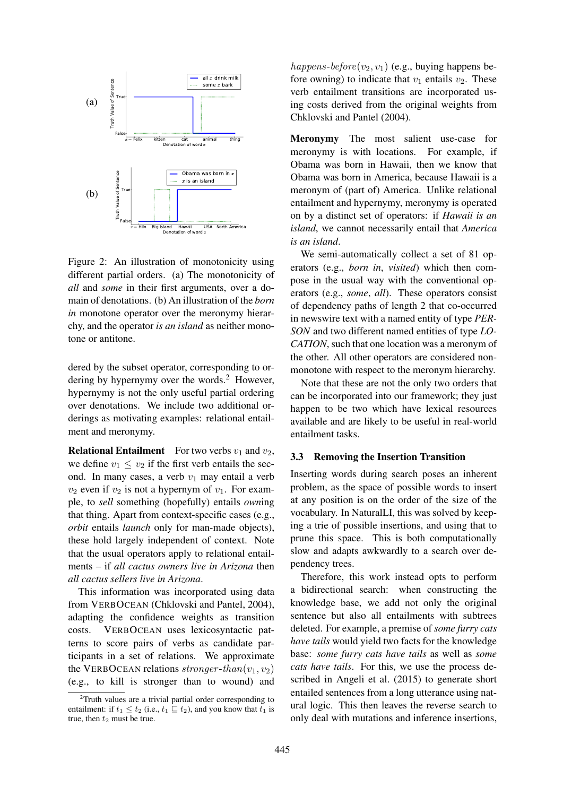

Figure 2: An illustration of monotonicity using different partial orders. (a) The monotonicity of *all* and *some* in their first arguments, over a domain of denotations. (b) An illustration of the *born in* monotone operator over the meronymy hierarchy, and the operator *is an island* as neither monotone or antitone.

dered by the subset operator, corresponding to ordering by hypernymy over the words.<sup>2</sup> However, hypernymy is not the only useful partial ordering over denotations. We include two additional orderings as motivating examples: relational entailment and meronymy.

**Relational Entailment** For two verbs  $v_1$  and  $v_2$ , we define  $v_1 \le v_2$  if the first verb entails the second. In many cases, a verb  $v_1$  may entail a verb  $v_2$  even if  $v_2$  is not a hypernym of  $v_1$ . For example, to *sell* something (hopefully) entails *own*ing that thing. Apart from context-specific cases (e.g., *orbit* entails *launch* only for man-made objects), these hold largely independent of context. Note that the usual operators apply to relational entailments – if *all cactus owners live in Arizona* then *all cactus sellers live in Arizona*.

This information was incorporated using data from VERBOCEAN (Chklovski and Pantel, 2004), adapting the confidence weights as transition costs. VERBOCEAN uses lexicosyntactic patterns to score pairs of verbs as candidate participants in a set of relations. We approximate the VERBOCEAN relations stronger-than( $v_1, v_2$ ) (e.g., to kill is stronger than to wound) and

happens-before( $v_2, v_1$ ) (e.g., buying happens before owning) to indicate that  $v_1$  entails  $v_2$ . These verb entailment transitions are incorporated using costs derived from the original weights from Chklovski and Pantel (2004).

Meronymy The most salient use-case for meronymy is with locations. For example, if Obama was born in Hawaii, then we know that Obama was born in America, because Hawaii is a meronym of (part of) America. Unlike relational entailment and hypernymy, meronymy is operated on by a distinct set of operators: if *Hawaii is an island*, we cannot necessarily entail that *America is an island*.

We semi-automatically collect a set of 81 operators (e.g., *born in*, *visited*) which then compose in the usual way with the conventional operators (e.g., *some*, *all*). These operators consist of dependency paths of length 2 that co-occurred in newswire text with a named entity of type *PER-SON* and two different named entities of type *LO-CATION*, such that one location was a meronym of the other. All other operators are considered nonmonotone with respect to the meronym hierarchy.

Note that these are not the only two orders that can be incorporated into our framework; they just happen to be two which have lexical resources available and are likely to be useful in real-world entailment tasks.

### 3.3 Removing the Insertion Transition

Inserting words during search poses an inherent problem, as the space of possible words to insert at any position is on the order of the size of the vocabulary. In NaturalLI, this was solved by keeping a trie of possible insertions, and using that to prune this space. This is both computationally slow and adapts awkwardly to a search over dependency trees.

Therefore, this work instead opts to perform a bidirectional search: when constructing the knowledge base, we add not only the original sentence but also all entailments with subtrees deleted. For example, a premise of *some furry cats have tails* would yield two facts for the knowledge base: *some furry cats have tails* as well as *some cats have tails*. For this, we use the process described in Angeli et al. (2015) to generate short entailed sentences from a long utterance using natural logic. This then leaves the reverse search to only deal with mutations and inference insertions,

 $2$ Truth values are a trivial partial order corresponding to entailment: if  $t_1 \le t_2$  (i.e.,  $t_1 \subseteq t_2$ ), and you know that  $t_1$  is true, then  $t_2$  must be true.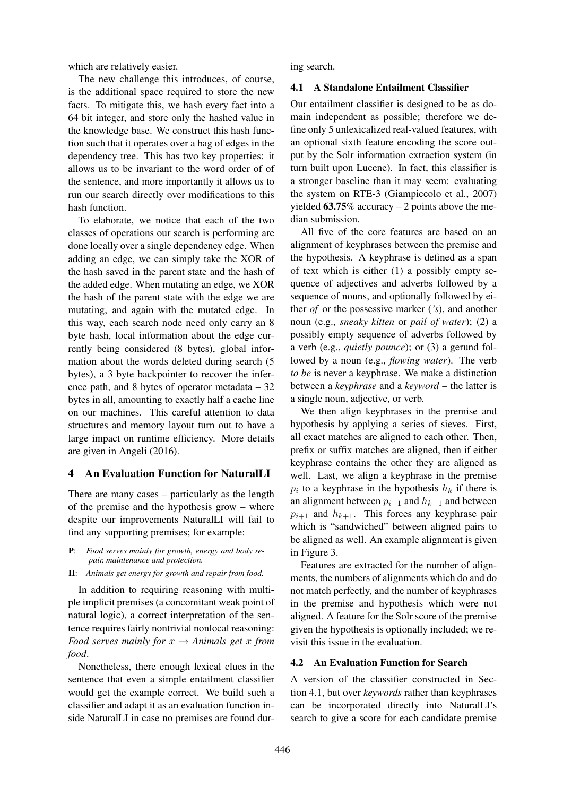which are relatively easier.

The new challenge this introduces, of course, is the additional space required to store the new facts. To mitigate this, we hash every fact into a 64 bit integer, and store only the hashed value in the knowledge base. We construct this hash function such that it operates over a bag of edges in the dependency tree. This has two key properties: it allows us to be invariant to the word order of of the sentence, and more importantly it allows us to run our search directly over modifications to this hash function.

To elaborate, we notice that each of the two classes of operations our search is performing are done locally over a single dependency edge. When adding an edge, we can simply take the XOR of the hash saved in the parent state and the hash of the added edge. When mutating an edge, we XOR the hash of the parent state with the edge we are mutating, and again with the mutated edge. In this way, each search node need only carry an 8 byte hash, local information about the edge currently being considered (8 bytes), global information about the words deleted during search (5 bytes), a 3 byte backpointer to recover the inference path, and 8 bytes of operator metadata  $-32$ bytes in all, amounting to exactly half a cache line on our machines. This careful attention to data structures and memory layout turn out to have a large impact on runtime efficiency. More details are given in Angeli (2016).

### 4 An Evaluation Function for NaturalLI

There are many cases – particularly as the length of the premise and the hypothesis grow – where despite our improvements NaturalLI will fail to find any supporting premises; for example:

- P: *Food serves mainly for growth, energy and body repair, maintenance and protection.*
- H: *Animals get energy for growth and repair from food.*

In addition to requiring reasoning with multiple implicit premises (a concomitant weak point of natural logic), a correct interpretation of the sentence requires fairly nontrivial nonlocal reasoning: *Food serves mainly for*  $x \rightarrow$  *Animals get* x *from food*.

Nonetheless, there enough lexical clues in the sentence that even a simple entailment classifier would get the example correct. We build such a classifier and adapt it as an evaluation function inside NaturalLI in case no premises are found during search.

#### 4.1 A Standalone Entailment Classifier

Our entailment classifier is designed to be as domain independent as possible; therefore we define only 5 unlexicalized real-valued features, with an optional sixth feature encoding the score output by the Solr information extraction system (in turn built upon Lucene). In fact, this classifier is a stronger baseline than it may seem: evaluating the system on RTE-3 (Giampiccolo et al., 2007) yielded  $63.75\%$  accuracy  $-2$  points above the median submission.

All five of the core features are based on an alignment of keyphrases between the premise and the hypothesis. A keyphrase is defined as a span of text which is either (1) a possibly empty sequence of adjectives and adverbs followed by a sequence of nouns, and optionally followed by either *of* or the possessive marker (*'s*), and another noun (e.g., *sneaky kitten* or *pail of water*); (2) a possibly empty sequence of adverbs followed by a verb (e.g., *quietly pounce*); or (3) a gerund followed by a noun (e.g., *flowing water*). The verb *to be* is never a keyphrase. We make a distinction between a *keyphrase* and a *keyword* – the latter is a single noun, adjective, or verb.

We then align keyphrases in the premise and hypothesis by applying a series of sieves. First, all exact matches are aligned to each other. Then, prefix or suffix matches are aligned, then if either keyphrase contains the other they are aligned as well. Last, we align a keyphrase in the premise  $p_i$  to a keyphrase in the hypothesis  $h_k$  if there is an alignment between  $p_{i-1}$  and  $h_{k-1}$  and between  $p_{i+1}$  and  $h_{k+1}$ . This forces any keyphrase pair which is "sandwiched" between aligned pairs to be aligned as well. An example alignment is given in Figure 3.

Features are extracted for the number of alignments, the numbers of alignments which do and do not match perfectly, and the number of keyphrases in the premise and hypothesis which were not aligned. A feature for the Solr score of the premise given the hypothesis is optionally included; we revisit this issue in the evaluation.

#### 4.2 An Evaluation Function for Search

A version of the classifier constructed in Section 4.1, but over *keywords* rather than keyphrases can be incorporated directly into NaturalLI's search to give a score for each candidate premise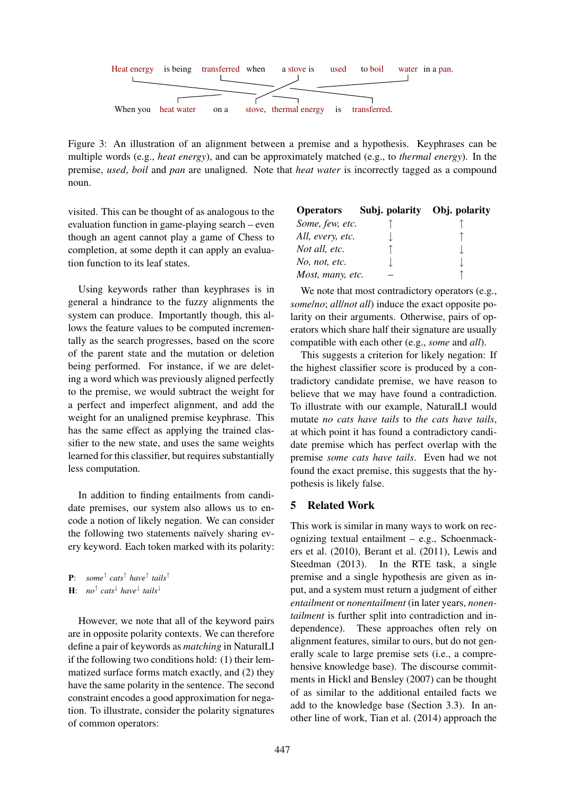

Figure 3: An illustration of an alignment between a premise and a hypothesis. Keyphrases can be multiple words (e.g., *heat energy*), and can be approximately matched (e.g., to *thermal energy*). In the premise, *used*, *boil* and *pan* are unaligned. Note that *heat water* is incorrectly tagged as a compound noun.

visited. This can be thought of as analogous to the evaluation function in game-playing search – even though an agent cannot play a game of Chess to completion, at some depth it can apply an evaluation function to its leaf states.

Using keywords rather than keyphrases is in general a hindrance to the fuzzy alignments the system can produce. Importantly though, this allows the feature values to be computed incrementally as the search progresses, based on the score of the parent state and the mutation or deletion being performed. For instance, if we are deleting a word which was previously aligned perfectly to the premise, we would subtract the weight for a perfect and imperfect alignment, and add the weight for an unaligned premise keyphrase. This has the same effect as applying the trained classifier to the new state, and uses the same weights learned for this classifier, but requires substantially less computation.

In addition to finding entailments from candidate premises, our system also allows us to encode a notion of likely negation. We can consider the following two statements naïvely sharing every keyword. Each token marked with its polarity:

| <b>P</b> : some <sup><math>\uparrow</math></sup> cats <sup><math>\uparrow</math></sup> have <sup><math>\uparrow</math></sup> tails <sup><math>\uparrow</math></sup> |  |  |
|---------------------------------------------------------------------------------------------------------------------------------------------------------------------|--|--|
|                                                                                                                                                                     |  |  |

H: *no*<sup>↑</sup> *cats*<sup>↓</sup> *have*<sup>↓</sup> *tails*<sup>↓</sup>

However, we note that all of the keyword pairs are in opposite polarity contexts. We can therefore define a pair of keywords as *matching* in NaturalLI if the following two conditions hold: (1) their lemmatized surface forms match exactly, and (2) they have the same polarity in the sentence. The second constraint encodes a good approximation for negation. To illustrate, consider the polarity signatures of common operators:

|                  | Operators Subj. polarity Obj. polarity |  |
|------------------|----------------------------------------|--|
| Some, few, etc.  |                                        |  |
| All, every, etc. |                                        |  |
| Not all, etc.    |                                        |  |
| No, not, etc.    |                                        |  |
| Most, many, etc. |                                        |  |

We note that most contradictory operators (e.g., *some*/*no*; *all*/*not all*) induce the exact opposite polarity on their arguments. Otherwise, pairs of operators which share half their signature are usually compatible with each other (e.g., *some* and *all*).

This suggests a criterion for likely negation: If the highest classifier score is produced by a contradictory candidate premise, we have reason to believe that we may have found a contradiction. To illustrate with our example, NaturalLI would mutate *no cats have tails* to *the cats have tails*, at which point it has found a contradictory candidate premise which has perfect overlap with the premise *some cats have tails*. Even had we not found the exact premise, this suggests that the hypothesis is likely false.

### 5 Related Work

This work is similar in many ways to work on recognizing textual entailment – e.g., Schoenmackers et al. (2010), Berant et al. (2011), Lewis and Steedman (2013). In the RTE task, a single premise and a single hypothesis are given as input, and a system must return a judgment of either *entailment* or *nonentailment* (in later years, *nonentailment* is further split into contradiction and independence). These approaches often rely on alignment features, similar to ours, but do not generally scale to large premise sets (i.e., a comprehensive knowledge base). The discourse commitments in Hickl and Bensley (2007) can be thought of as similar to the additional entailed facts we add to the knowledge base (Section 3.3). In another line of work, Tian et al. (2014) approach the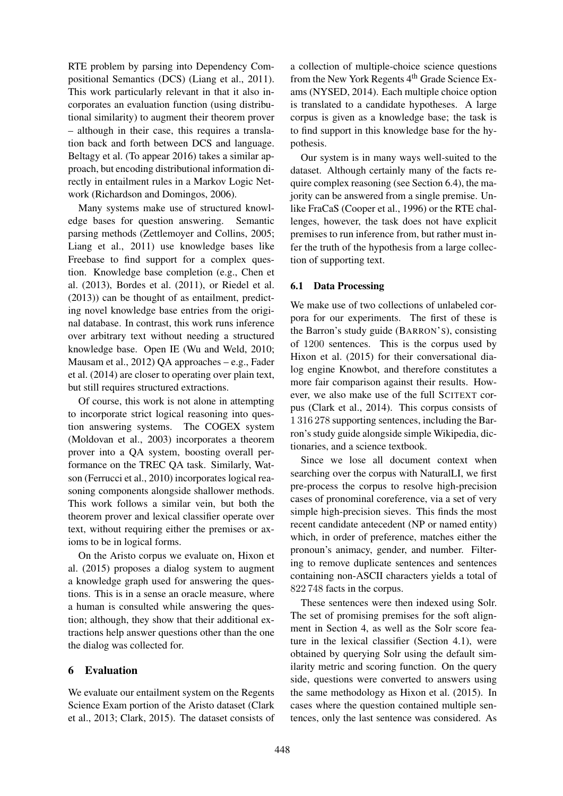RTE problem by parsing into Dependency Compositional Semantics (DCS) (Liang et al., 2011). This work particularly relevant in that it also incorporates an evaluation function (using distributional similarity) to augment their theorem prover – although in their case, this requires a translation back and forth between DCS and language. Beltagy et al. (To appear 2016) takes a similar approach, but encoding distributional information directly in entailment rules in a Markov Logic Network (Richardson and Domingos, 2006).

Many systems make use of structured knowledge bases for question answering. Semantic parsing methods (Zettlemoyer and Collins, 2005; Liang et al., 2011) use knowledge bases like Freebase to find support for a complex question. Knowledge base completion (e.g., Chen et al. (2013), Bordes et al. (2011), or Riedel et al. (2013)) can be thought of as entailment, predicting novel knowledge base entries from the original database. In contrast, this work runs inference over arbitrary text without needing a structured knowledge base. Open IE (Wu and Weld, 2010; Mausam et al., 2012) QA approaches – e.g., Fader et al. (2014) are closer to operating over plain text, but still requires structured extractions.

Of course, this work is not alone in attempting to incorporate strict logical reasoning into question answering systems. The COGEX system (Moldovan et al., 2003) incorporates a theorem prover into a QA system, boosting overall performance on the TREC QA task. Similarly, Watson (Ferrucci et al., 2010) incorporates logical reasoning components alongside shallower methods. This work follows a similar vein, but both the theorem prover and lexical classifier operate over text, without requiring either the premises or axioms to be in logical forms.

On the Aristo corpus we evaluate on, Hixon et al. (2015) proposes a dialog system to augment a knowledge graph used for answering the questions. This is in a sense an oracle measure, where a human is consulted while answering the question; although, they show that their additional extractions help answer questions other than the one the dialog was collected for.

### 6 Evaluation

We evaluate our entailment system on the Regents Science Exam portion of the Aristo dataset (Clark et al., 2013; Clark, 2015). The dataset consists of

a collection of multiple-choice science questions from the New York Regents 4<sup>th</sup> Grade Science Exams (NYSED, 2014). Each multiple choice option is translated to a candidate hypotheses. A large corpus is given as a knowledge base; the task is to find support in this knowledge base for the hypothesis.

Our system is in many ways well-suited to the dataset. Although certainly many of the facts require complex reasoning (see Section 6.4), the majority can be answered from a single premise. Unlike FraCaS (Cooper et al., 1996) or the RTE challenges, however, the task does not have explicit premises to run inference from, but rather must infer the truth of the hypothesis from a large collection of supporting text.

#### 6.1 Data Processing

We make use of two collections of unlabeled corpora for our experiments. The first of these is the Barron's study guide (BARRON'S), consisting of 1200 sentences. This is the corpus used by Hixon et al. (2015) for their conversational dialog engine Knowbot, and therefore constitutes a more fair comparison against their results. However, we also make use of the full SCITEXT corpus (Clark et al., 2014). This corpus consists of 1 316 278 supporting sentences, including the Barron's study guide alongside simple Wikipedia, dictionaries, and a science textbook.

Since we lose all document context when searching over the corpus with NaturalLI, we first pre-process the corpus to resolve high-precision cases of pronominal coreference, via a set of very simple high-precision sieves. This finds the most recent candidate antecedent (NP or named entity) which, in order of preference, matches either the pronoun's animacy, gender, and number. Filtering to remove duplicate sentences and sentences containing non-ASCII characters yields a total of 822 748 facts in the corpus.

These sentences were then indexed using Solr. The set of promising premises for the soft alignment in Section 4, as well as the Solr score feature in the lexical classifier (Section 4.1), were obtained by querying Solr using the default similarity metric and scoring function. On the query side, questions were converted to answers using the same methodology as Hixon et al. (2015). In cases where the question contained multiple sentences, only the last sentence was considered. As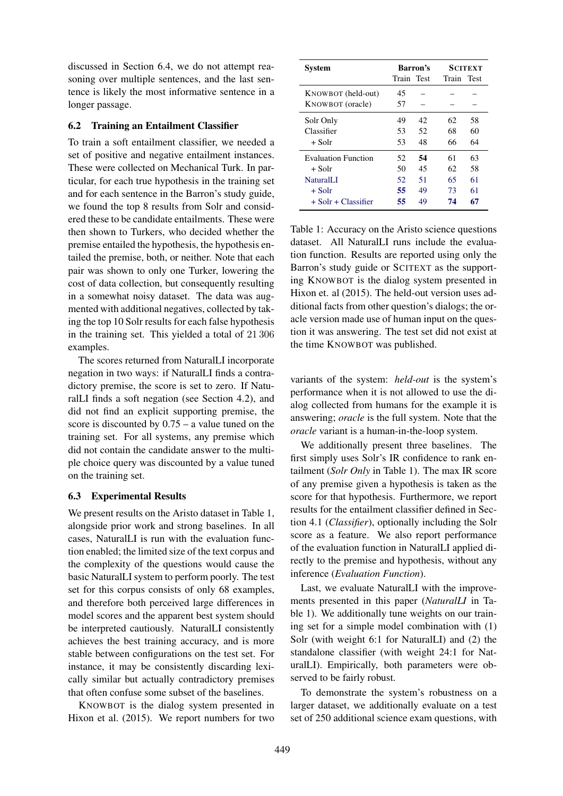discussed in Section 6.4, we do not attempt reasoning over multiple sentences, and the last sentence is likely the most informative sentence in a longer passage.

### 6.2 Training an Entailment Classifier

To train a soft entailment classifier, we needed a set of positive and negative entailment instances. These were collected on Mechanical Turk. In particular, for each true hypothesis in the training set and for each sentence in the Barron's study guide, we found the top 8 results from Solr and considered these to be candidate entailments. These were then shown to Turkers, who decided whether the premise entailed the hypothesis, the hypothesis entailed the premise, both, or neither. Note that each pair was shown to only one Turker, lowering the cost of data collection, but consequently resulting in a somewhat noisy dataset. The data was augmented with additional negatives, collected by taking the top 10 Solr results for each false hypothesis in the training set. This yielded a total of 21 306 examples.

The scores returned from NaturalLI incorporate negation in two ways: if NaturalLI finds a contradictory premise, the score is set to zero. If NaturalLI finds a soft negation (see Section 4.2), and did not find an explicit supporting premise, the score is discounted by 0.75 – a value tuned on the training set. For all systems, any premise which did not contain the candidate answer to the multiple choice query was discounted by a value tuned on the training set.

### 6.3 Experimental Results

We present results on the Aristo dataset in Table 1, alongside prior work and strong baselines. In all cases, NaturalLI is run with the evaluation function enabled; the limited size of the text corpus and the complexity of the questions would cause the basic NaturalLI system to perform poorly. The test set for this corpus consists of only 68 examples, and therefore both perceived large differences in model scores and the apparent best system should be interpreted cautiously. NaturalLI consistently achieves the best training accuracy, and is more stable between configurations on the test set. For instance, it may be consistently discarding lexically similar but actually contradictory premises that often confuse some subset of the baselines.

KNOWBOT is the dialog system presented in Hixon et al. (2015). We report numbers for two

| <b>System</b>         | Barron's   |    | <b>SCITEXT</b> |    |
|-----------------------|------------|----|----------------|----|
|                       | Train Test |    | Train Test     |    |
| KNOWBOT (held-out)    | 45         |    |                |    |
| KNOWBOT (oracle)      | 57         |    |                |    |
| Solr Only             | 49         | 42 | 62             | 58 |
| Classifier            | 53         | 52 | 68             | 60 |
| + Solr                | 53         | 48 | 66             | 64 |
| Evaluation Function   | 52.        | 54 | 61             | 63 |
| + Solr                | 50         | 45 | 62             | 58 |
| <b>NaturalLI</b>      | 52.        | 51 | 65             | 61 |
| $+$ Solr              | 55         | 49 | 73             | 61 |
| $+$ Solr + Classifier | 55         | 49 | 74             | 67 |

Table 1: Accuracy on the Aristo science questions dataset. All NaturalLI runs include the evaluation function. Results are reported using only the Barron's study guide or SCITEXT as the supporting KNOWBOT is the dialog system presented in Hixon et. al (2015). The held-out version uses additional facts from other question's dialogs; the oracle version made use of human input on the question it was answering. The test set did not exist at the time KNOWBOT was published.

variants of the system: *held-out* is the system's performance when it is not allowed to use the dialog collected from humans for the example it is answering; *oracle* is the full system. Note that the *oracle* variant is a human-in-the-loop system.

We additionally present three baselines. The first simply uses Solr's IR confidence to rank entailment (*Solr Only* in Table 1). The max IR score of any premise given a hypothesis is taken as the score for that hypothesis. Furthermore, we report results for the entailment classifier defined in Section 4.1 (*Classifier*), optionally including the Solr score as a feature. We also report performance of the evaluation function in NaturalLI applied directly to the premise and hypothesis, without any inference (*Evaluation Function*).

Last, we evaluate NaturalLI with the improvements presented in this paper (*NaturalLI* in Table 1). We additionally tune weights on our training set for a simple model combination with (1) Solr (with weight 6:1 for NaturalLI) and (2) the standalone classifier (with weight 24:1 for NaturalLI). Empirically, both parameters were observed to be fairly robust.

To demonstrate the system's robustness on a larger dataset, we additionally evaluate on a test set of 250 additional science exam questions, with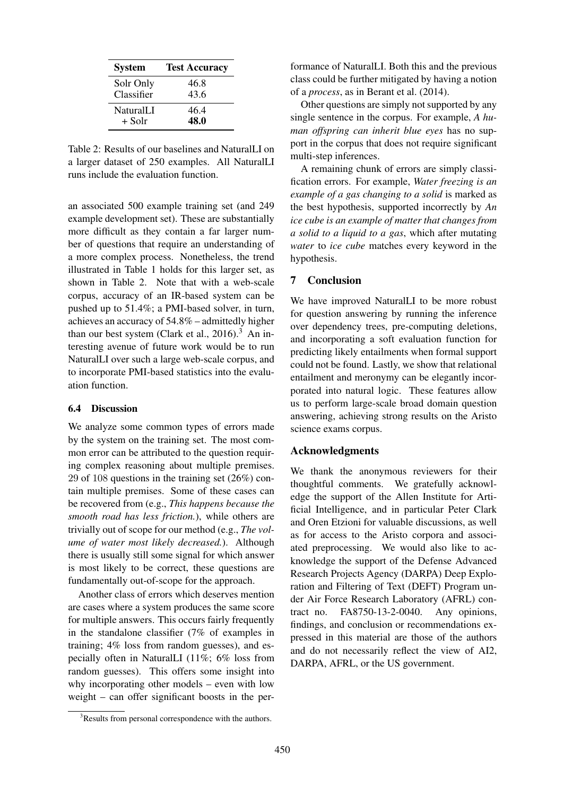| <b>System</b>           | <b>Test Accuracy</b> |
|-------------------------|----------------------|
| Solr Only<br>Classifier | 46.8<br>43.6         |
| NaturalLI               | 46.4                 |
| + Solr                  | 48.0                 |

Table 2: Results of our baselines and NaturalLI on a larger dataset of 250 examples. All NaturalLI runs include the evaluation function.

an associated 500 example training set (and 249 example development set). These are substantially more difficult as they contain a far larger number of questions that require an understanding of a more complex process. Nonetheless, the trend illustrated in Table 1 holds for this larger set, as shown in Table 2. Note that with a web-scale corpus, accuracy of an IR-based system can be pushed up to 51.4%; a PMI-based solver, in turn, achieves an accuracy of 54.8% – admittedly higher than our best system (Clark et al.,  $2016$ ).<sup>3</sup> An interesting avenue of future work would be to run NaturalLI over such a large web-scale corpus, and to incorporate PMI-based statistics into the evaluation function.

#### 6.4 Discussion

We analyze some common types of errors made by the system on the training set. The most common error can be attributed to the question requiring complex reasoning about multiple premises. 29 of 108 questions in the training set (26%) contain multiple premises. Some of these cases can be recovered from (e.g., *This happens because the smooth road has less friction.*), while others are trivially out of scope for our method (e.g., *The volume of water most likely decreased.*). Although there is usually still some signal for which answer is most likely to be correct, these questions are fundamentally out-of-scope for the approach.

Another class of errors which deserves mention are cases where a system produces the same score for multiple answers. This occurs fairly frequently in the standalone classifier (7% of examples in training; 4% loss from random guesses), and especially often in NaturalLI (11%; 6% loss from random guesses). This offers some insight into why incorporating other models – even with low weight – can offer significant boosts in the per-

formance of NaturalLI. Both this and the previous class could be further mitigated by having a notion of a *process*, as in Berant et al. (2014).

Other questions are simply not supported by any single sentence in the corpus. For example, *A human offspring can inherit blue eyes* has no support in the corpus that does not require significant multi-step inferences.

A remaining chunk of errors are simply classification errors. For example, *Water freezing is an example of a gas changing to a solid* is marked as the best hypothesis, supported incorrectly by *An ice cube is an example of matter that changes from a solid to a liquid to a gas*, which after mutating *water* to *ice cube* matches every keyword in the hypothesis.

#### 7 Conclusion

We have improved NaturalLI to be more robust for question answering by running the inference over dependency trees, pre-computing deletions, and incorporating a soft evaluation function for predicting likely entailments when formal support could not be found. Lastly, we show that relational entailment and meronymy can be elegantly incorporated into natural logic. These features allow us to perform large-scale broad domain question answering, achieving strong results on the Aristo science exams corpus.

#### Acknowledgments

We thank the anonymous reviewers for their thoughtful comments. We gratefully acknowledge the support of the Allen Institute for Artificial Intelligence, and in particular Peter Clark and Oren Etzioni for valuable discussions, as well as for access to the Aristo corpora and associated preprocessing. We would also like to acknowledge the support of the Defense Advanced Research Projects Agency (DARPA) Deep Exploration and Filtering of Text (DEFT) Program under Air Force Research Laboratory (AFRL) contract no. FA8750-13-2-0040. Any opinions, findings, and conclusion or recommendations expressed in this material are those of the authors and do not necessarily reflect the view of AI2, DARPA, AFRL, or the US government.

<sup>&</sup>lt;sup>3</sup>Results from personal correspondence with the authors.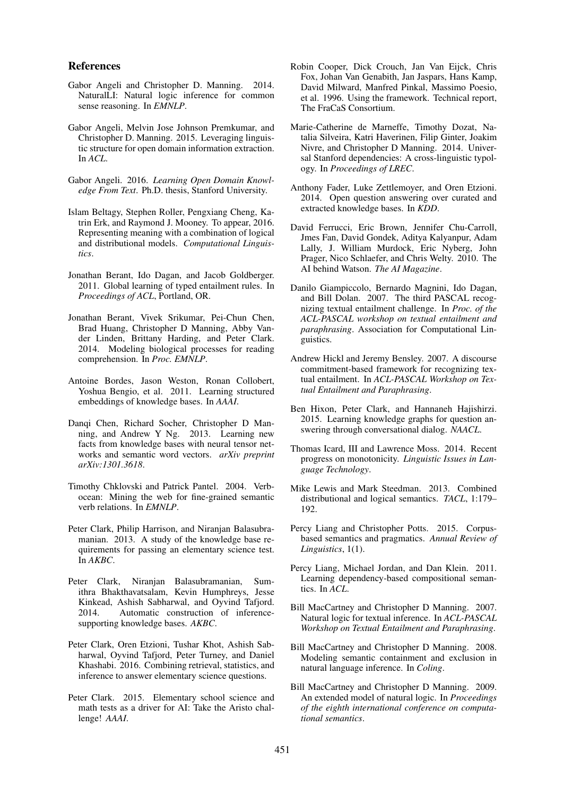#### References

- Gabor Angeli and Christopher D. Manning. 2014. NaturalLI: Natural logic inference for common sense reasoning. In *EMNLP*.
- Gabor Angeli, Melvin Jose Johnson Premkumar, and Christopher D. Manning. 2015. Leveraging linguistic structure for open domain information extraction. In *ACL*.
- Gabor Angeli. 2016. *Learning Open Domain Knowledge From Text*. Ph.D. thesis, Stanford University.
- Islam Beltagy, Stephen Roller, Pengxiang Cheng, Katrin Erk, and Raymond J. Mooney. To appear, 2016. Representing meaning with a combination of logical and distributional models. *Computational Linguistics*.
- Jonathan Berant, Ido Dagan, and Jacob Goldberger. 2011. Global learning of typed entailment rules. In *Proceedings of ACL*, Portland, OR.
- Jonathan Berant, Vivek Srikumar, Pei-Chun Chen, Brad Huang, Christopher D Manning, Abby Vander Linden, Brittany Harding, and Peter Clark. 2014. Modeling biological processes for reading comprehension. In *Proc. EMNLP*.
- Antoine Bordes, Jason Weston, Ronan Collobert, Yoshua Bengio, et al. 2011. Learning structured embeddings of knowledge bases. In *AAAI*.
- Danqi Chen, Richard Socher, Christopher D Manning, and Andrew Y Ng. 2013. Learning new facts from knowledge bases with neural tensor networks and semantic word vectors. *arXiv preprint arXiv:1301.3618*.
- Timothy Chklovski and Patrick Pantel. 2004. Verbocean: Mining the web for fine-grained semantic verb relations. In *EMNLP*.
- Peter Clark, Philip Harrison, and Niranjan Balasubramanian. 2013. A study of the knowledge base requirements for passing an elementary science test. In *AKBC*.
- Peter Clark, Niranjan Balasubramanian, Sumithra Bhakthavatsalam, Kevin Humphreys, Jesse Kinkead, Ashish Sabharwal, and Oyvind Tafjord. 2014. Automatic construction of inferencesupporting knowledge bases. *AKBC*.
- Peter Clark, Oren Etzioni, Tushar Khot, Ashish Sabharwal, Oyvind Tafjord, Peter Turney, and Daniel Khashabi. 2016. Combining retrieval, statistics, and inference to answer elementary science questions.
- Peter Clark. 2015. Elementary school science and math tests as a driver for AI: Take the Aristo challenge! *AAAI*.
- Robin Cooper, Dick Crouch, Jan Van Eijck, Chris Fox, Johan Van Genabith, Jan Jaspars, Hans Kamp, David Milward, Manfred Pinkal, Massimo Poesio, et al. 1996. Using the framework. Technical report, The FraCaS Consortium.
- Marie-Catherine de Marneffe, Timothy Dozat, Natalia Silveira, Katri Haverinen, Filip Ginter, Joakim Nivre, and Christopher D Manning. 2014. Universal Stanford dependencies: A cross-linguistic typology. In *Proceedings of LREC*.
- Anthony Fader, Luke Zettlemoyer, and Oren Etzioni. 2014. Open question answering over curated and extracted knowledge bases. In *KDD*.
- David Ferrucci, Eric Brown, Jennifer Chu-Carroll, Jmes Fan, David Gondek, Aditya Kalyanpur, Adam Lally, J. William Murdock, Eric Nyberg, John Prager, Nico Schlaefer, and Chris Welty. 2010. The AI behind Watson. *The AI Magazine*.
- Danilo Giampiccolo, Bernardo Magnini, Ido Dagan, and Bill Dolan. 2007. The third PASCAL recognizing textual entailment challenge. In *Proc. of the ACL-PASCAL workshop on textual entailment and paraphrasing*. Association for Computational Linguistics.
- Andrew Hickl and Jeremy Bensley. 2007. A discourse commitment-based framework for recognizing textual entailment. In *ACL-PASCAL Workshop on Textual Entailment and Paraphrasing*.
- Ben Hixon, Peter Clark, and Hannaneh Hajishirzi. 2015. Learning knowledge graphs for question answering through conversational dialog. *NAACL*.
- Thomas Icard, III and Lawrence Moss. 2014. Recent progress on monotonicity. *Linguistic Issues in Language Technology*.
- Mike Lewis and Mark Steedman. 2013. Combined distributional and logical semantics. *TACL*, 1:179– 192.
- Percy Liang and Christopher Potts. 2015. Corpusbased semantics and pragmatics. *Annual Review of Linguistics*, 1(1).
- Percy Liang, Michael Jordan, and Dan Klein. 2011. Learning dependency-based compositional semantics. In *ACL*.
- Bill MacCartney and Christopher D Manning. 2007. Natural logic for textual inference. In *ACL-PASCAL Workshop on Textual Entailment and Paraphrasing*.
- Bill MacCartney and Christopher D Manning. 2008. Modeling semantic containment and exclusion in natural language inference. In *Coling*.
- Bill MacCartney and Christopher D Manning. 2009. An extended model of natural logic. In *Proceedings of the eighth international conference on computational semantics*.